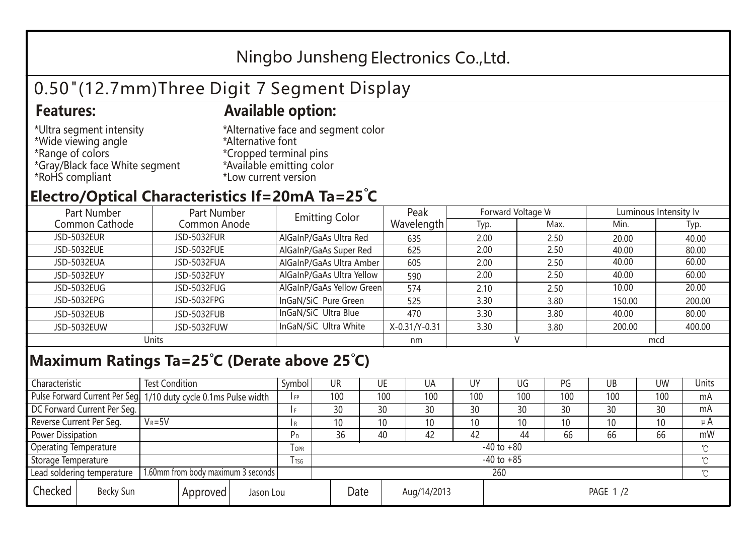## Ningbo Junsheng Electronics Co.,Ltd.

# 0.50"(12.7mm)Three Digit 7 Segment Display

### **Features: Available option:**

- \*Ultra segment intensity \*Wide viewing angle \*Range of colors \*Gray/Black face White segment \*RoHS compliant
- \*Alternative face and segment color \*Alternative font \*Cropped terminal pins \*Available emitting color \*Low current version

### **Electro/Optical Characteristics If=20mA Ta=25 C**

| Part Number<br>Part Number |              | <b>Emitting Color</b>     | Peak          | Forward Voltage VF |      | Luminous Intensity lv |        |  |
|----------------------------|--------------|---------------------------|---------------|--------------------|------|-----------------------|--------|--|
| Common Cathode             | Common Anode |                           | Wavelength    | Typ.               | Max. | Min.                  | Typ.   |  |
| <b>JSD-5032EUR</b>         | JSD-5032FUR  | AlGaInP/GaAs Ultra Red    | 635           | 2.00               | 2.50 | 20.00                 | 40.00  |  |
| JSD-5032EUE                | JSD-5032FUE  | AlGaInP/GaAs Super Red    | 625           | 2.00               | 2.50 | 40.00                 | 80.00  |  |
| JSD-5032EUA                | JSD-5032FUA  | AlGaInP/GaAs Ultra Amber  | 605           | 2.00               | 2.50 | 40.00                 | 60.00  |  |
| JSD-5032EUY                | JSD-5032FUY  | AlGaInP/GaAs Ultra Yellow | 590           | 2.00               | 2.50 | 40.00                 | 60.00  |  |
| JSD-5032EUG                | JSD-5032FUG  | AlGaInP/GaAs Yellow Green | 574           | 2.10               | 2.50 | 10.00                 | 20.00  |  |
| JSD-5032EPG                | JSD-5032FPG  | InGaN/SiC Pure Green      | 525           | 3.30               | 3.80 | 150.00                | 200.00 |  |
| JSD-5032EUB                | JSD-5032FUB  | InGaN/SiC Ultra Blue      | 470           | 3.30               | 3.80 | 40.00                 | 80.00  |  |
| JSD-5032EUW                | JSD-5032FUW  | InGaN/SiC Ultra White     | X-0.31/Y-0.31 | 3.30               | 3.80 | 200.00                | 400.00 |  |
| Units                      |              |                           | nm            |                    |      | mcd                   |        |  |

### **Maximum Ratings Ta=25°C (Derate above 25°C)**

| Characteristic               |  | <b>Test Condition</b>                                            |                         |  | Symbol         | UR              |     | UE          | UA              | UY              | UG  | PG  | UB  | <b>UW</b> | Units   |
|------------------------------|--|------------------------------------------------------------------|-------------------------|--|----------------|-----------------|-----|-------------|-----------------|-----------------|-----|-----|-----|-----------|---------|
|                              |  | Pulse Forward Current Per Seg. 1/10 duty cycle 0.1ms Pulse width |                         |  | IFP            |                 | 100 | 100         | 100             | 100             | 100 | 100 | 100 | 100       | mA      |
| DC Forward Current Per Seg.  |  |                                                                  |                         |  | I F            |                 | 30  | 30          | 30              | 30              | 30  | 30  | 30  | 30        | mA      |
| Reverse Current Per Seg.     |  | $V_R = 5V$                                                       |                         |  | l R            |                 | 10  | 10          | 10 <sup>°</sup> | 10              | 10  | 10  | 10  | 10        | $\mu$ A |
| <b>Power Dissipation</b>     |  |                                                                  |                         |  | РD             |                 | 36  | 40          | 42              | 42              | 44  | 66  | 66  | 66        | mW      |
| <b>Operating Temperature</b> |  |                                                                  | <b>TOPR</b>             |  | $-40$ to $+80$ |                 |     |             |                 |                 |     |     |     |           |         |
| Storage Temperature          |  |                                                                  | <b>T</b> <sub>TSG</sub> |  | $-40$ to $+85$ |                 |     |             |                 |                 |     |     |     |           |         |
| Lead soldering temperature   |  | 1.60mm from body maximum 3 seconds                               |                         |  |                | 260<br>$\gamma$ |     |             |                 |                 |     |     |     |           |         |
| Checked<br>Becky Sun         |  | Approved                                                         | Jason Lou               |  |                | Date            |     | Aug/14/2013 |                 | <b>PAGE 1/2</b> |     |     |     |           |         |